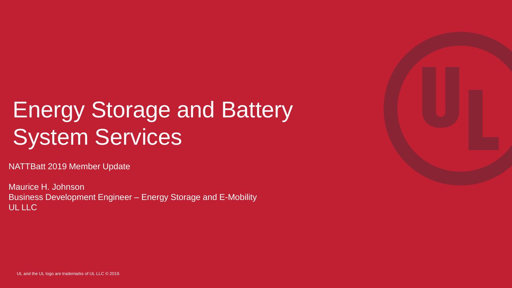## Energy Storage and Battery **System Services**

NATTBatt 2019 Member Update

Maurice H. Johnson Business Development Engineer – Energy Storage and E-Mobility UL LLC

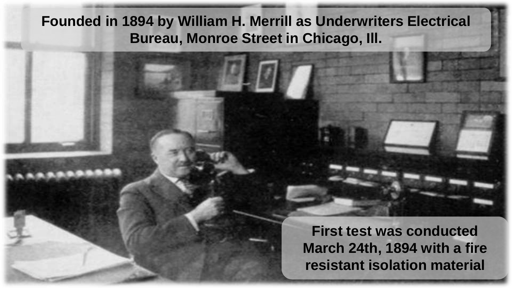## **Founded in 1894 by William H. Merrill as Underwriters Electrical Bureau, Monroe Street in Chicago, Ill.**

**First test was conducted March 24th, 1894 with a fire resistant isolation material**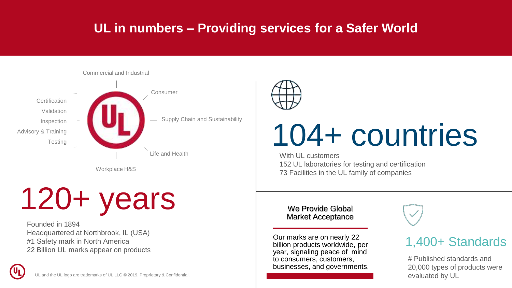## **UL in numbers – Providing services for a Safer World**



Workplace H&S

# 120+ years

Founded in 1894 Headquartered at Northbrook, IL (USA) #1 Safety mark in North America 22 Billion UL marks appear on products

and the UL logo are trademarks of UL LLC © 2019. Proprietary & Confidential.



# 104+ countries

With UL customers 152 UL laboratories for testing and certification 73 Facilities in the UL family of companies

### We Provide Global Market Acceptance

Our marks are on nearly 22 billion products worldwide, per year, signaling peace of mind to consumers, customers, businesses, and governments.

# 1,400+ Standards

# Published standards and 20,000 types of products were evaluated by UL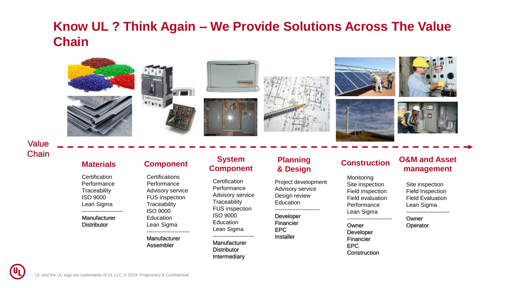## **Know UL ? Think Again – We Provide Solutions Across The Value Chain**



Value **Chain** 

**Certification** Performance **Traceability** ISO 9000 Lean Sigma ----------------------

Manufacturer **Distributor** 

**Certifications** Performance Advisory service FUS inspection **Traceability** ISO 9000 Education Lean Sigma -----------------------

Manufacturer Assembler

### **Materials Component System Component**

**Certification** Performance Advisory service **Traceability** FUS inspection ISO 9000 **Education** Lean Sigma ----------------------

Manufacturer **Distributor** Intermediary

### **Planning & Design**

Project development Advisory service Design review **Education** ------------------------

Developer Financier EPC Installer

**Monitoring** Site inspection Field inspection Field evaluation Performance Lean Sigma

------------------------ Owner

Developer Financier EPC Construction

### **Construction O&M and Asset management**

Site inspection Field Inspection Field Evaluation Lean Sigma -----------------------

Owner **Operator**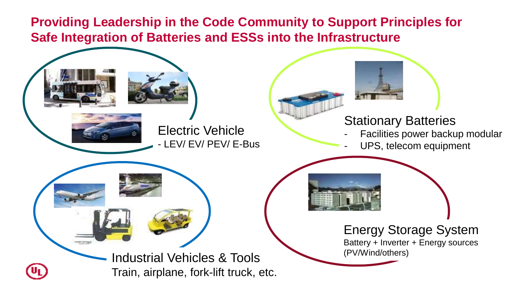## **Providing Leadership in the Code Community to Support Principles for Safe Integration of Batteries and ESSs into the Infrastructure**

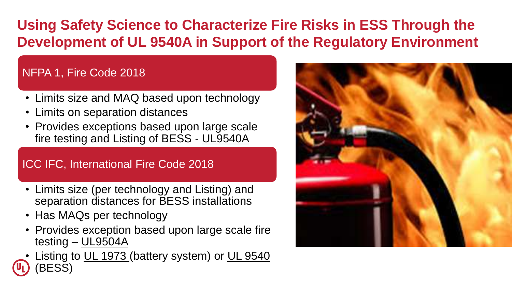## **Using Safety Science to Characterize Fire Risks in ESS Through the Development of UL 9540A in Support of the Regulatory Environment**

## NFPA 1, Fire Code 2018

- Limits size and MAQ based upon technology
- Limits on separation distances
- Provides exceptions based upon large scale fire testing and Listing of BESS - UL9540A

### ICC IFC, International Fire Code 2018

- Limits size (per technology and Listing) and separation distances for BESS installations
- Has MAQs per technology
- Provides exception based upon large scale fire testing – UL9504A
- Listing to UL 1973 (battery system) or UL 9540 (BESS)

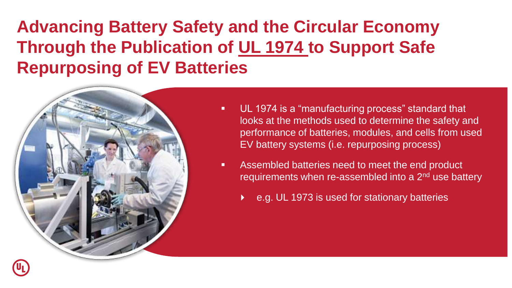## **Advancing Battery Safety and the Circular Economy Through the Publication of UL 1974 to Support Safe Repurposing of EV Batteries**



- UL 1974 is a "manufacturing process" standard that looks at the methods used to determine the safety and performance of batteries, modules, and cells from used EV battery systems (i.e. repurposing process)
- Assembled batteries need to meet the end product requirements when re-assembled into a 2<sup>nd</sup> use battery
	- e.g. UL 1973 is used for stationary batteries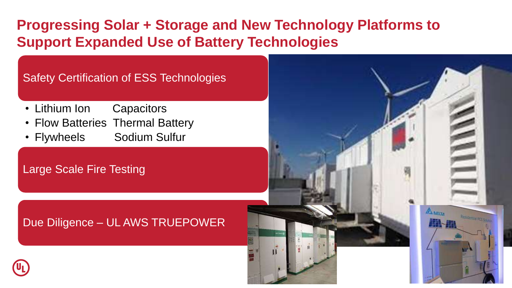## **Progressing Solar + Storage and New Technology Platforms to Support Expanded Use of Battery Technologies**

## Safety Certification of ESS Technologies

- Lithium Ion Capacitors
- Flow Batteries Thermal Battery
- Flywheels Sodium Sulfur

## Large Scale Fire Testing

## Due Diligence – UL AWS TRUEPOWER

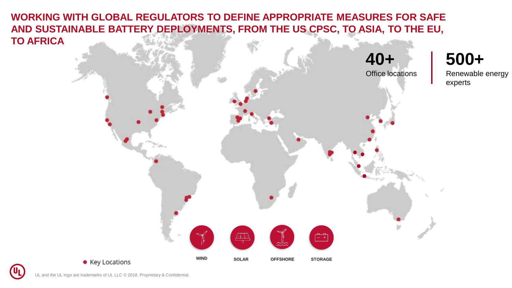**WORKING WITH GLOBAL REGULATORS TO DEFINE APPROPRIATE MEASURES FOR SAFE AND SUSTAINABLE BATTERY DEPLOYMENTS, FROM THE US CPSC, TO ASIA, TO THE EU, TO AFRICA**



(Սլ